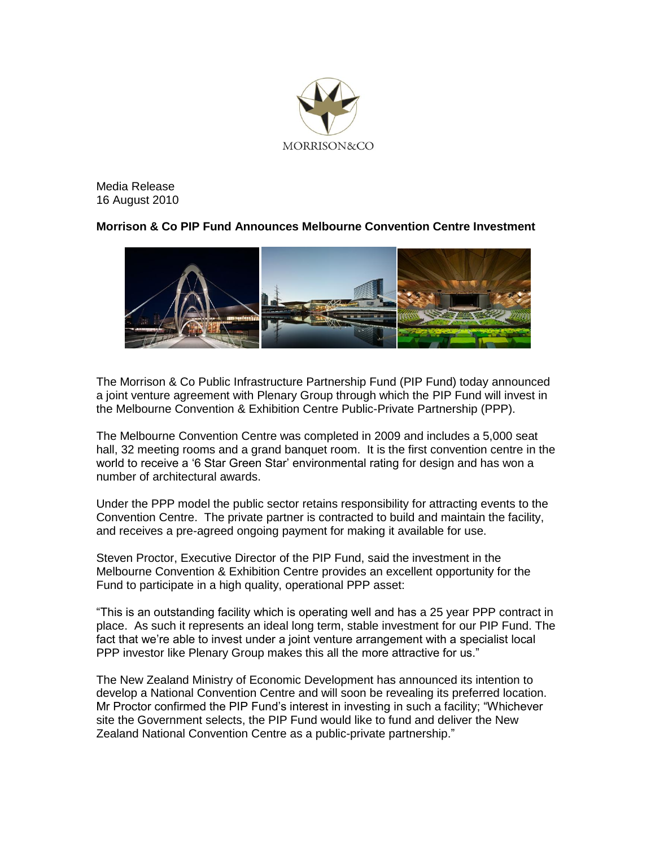

Media Release 16 August 2010

# **Morrison & Co PIP Fund Announces Melbourne Convention Centre Investment**



The Morrison & Co Public Infrastructure Partnership Fund (PIP Fund) today announced a joint venture agreement with Plenary Group through which the PIP Fund will invest in the Melbourne Convention & Exhibition Centre Public-Private Partnership (PPP).

The Melbourne Convention Centre was completed in 2009 and includes a 5,000 seat hall, 32 meeting rooms and a grand banquet room. It is the first convention centre in the world to receive a "6 Star Green Star" environmental rating for design and has won a number of architectural awards.

Under the PPP model the public sector retains responsibility for attracting events to the Convention Centre. The private partner is contracted to build and maintain the facility, and receives a pre-agreed ongoing payment for making it available for use.

Steven Proctor, Executive Director of the PIP Fund, said the investment in the Melbourne Convention & Exhibition Centre provides an excellent opportunity for the Fund to participate in a high quality, operational PPP asset:

"This is an outstanding facility which is operating well and has a 25 year PPP contract in place. As such it represents an ideal long term, stable investment for our PIP Fund. The fact that we"re able to invest under a joint venture arrangement with a specialist local PPP investor like Plenary Group makes this all the more attractive for us."

The New Zealand Ministry of Economic Development has announced its intention to develop a National Convention Centre and will soon be revealing its preferred location. Mr Proctor confirmed the PIP Fund"s interest in investing in such a facility; "Whichever site the Government selects, the PIP Fund would like to fund and deliver the New Zealand National Convention Centre as a public-private partnership."